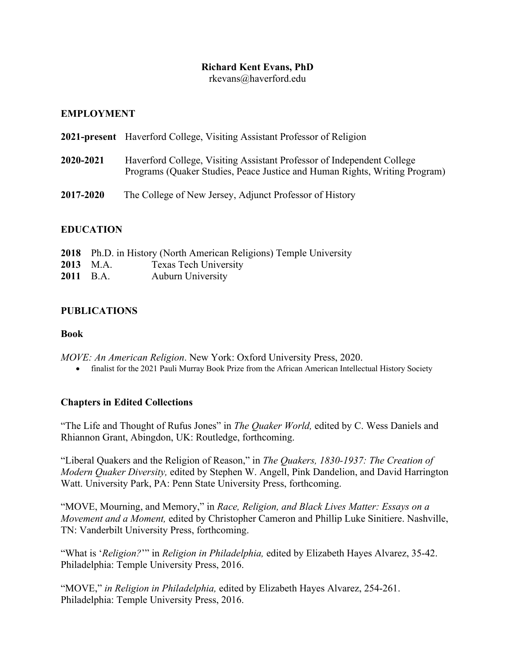# **Richard Kent Evans, PhD**

rkevans@haverford.edu

## **EMPLOYMENT**

|           | <b>2021-present</b> Haverford College, Visiting Assistant Professor of Religion                                                                      |
|-----------|------------------------------------------------------------------------------------------------------------------------------------------------------|
| 2020-2021 | Haverford College, Visiting Assistant Professor of Independent College<br>Programs (Quaker Studies, Peace Justice and Human Rights, Writing Program) |
| 2017-2020 | The College of New Jersey, Adjunct Professor of History                                                                                              |

## **EDUCATION**

|           |           | 2018 Ph.D. in History (North American Religions) Temple University |
|-----------|-----------|--------------------------------------------------------------------|
|           | 2013 M.A. | <b>Texas Tech University</b>                                       |
| 2011 B.A. |           | <b>Auburn University</b>                                           |

# **PUBLICATIONS**

#### **Book**

*MOVE: An American Religion*. New York: Oxford University Press, 2020.

• finalist for the 2021 Pauli Murray Book Prize from the African American Intellectual History Society

## **Chapters in Edited Collections**

"The Life and Thought of Rufus Jones" in *The Quaker World,* edited by C. Wess Daniels and Rhiannon Grant, Abingdon, UK: Routledge, forthcoming.

"Liberal Quakers and the Religion of Reason," in *The Quakers, 1830-1937: The Creation of Modern Quaker Diversity,* edited by Stephen W. Angell, Pink Dandelion, and David Harrington Watt. University Park, PA: Penn State University Press, forthcoming.

"MOVE, Mourning, and Memory," in *Race, Religion, and Black Lives Matter: Essays on a Movement and a Moment,* edited by Christopher Cameron and Phillip Luke Sinitiere. Nashville, TN: Vanderbilt University Press, forthcoming.

"What is '*Religion?*'" in *Religion in Philadelphia,* edited by Elizabeth Hayes Alvarez, 35-42. Philadelphia: Temple University Press, 2016.

"MOVE," *in Religion in Philadelphia,* edited by Elizabeth Hayes Alvarez, 254-261. Philadelphia: Temple University Press, 2016.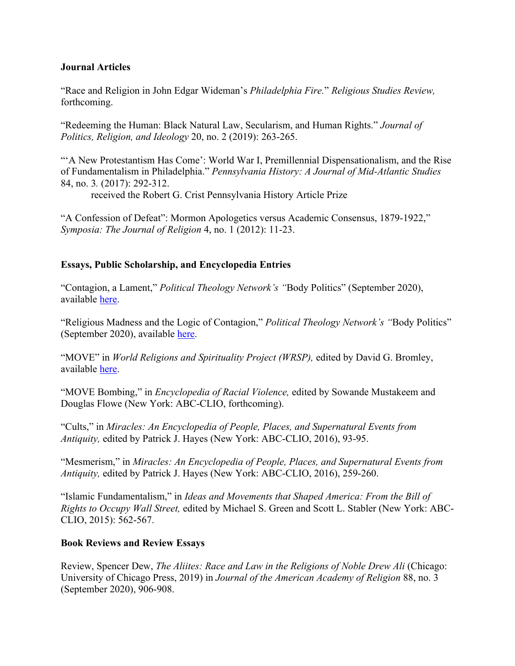#### **Journal Articles**

"Race and Religion in John Edgar Wideman's *Philadelphia Fire.*" *Religious Studies Review,*  forthcoming.

"Redeeming the Human: Black Natural Law, Secularism, and Human Rights." *Journal of Politics, Religion, and Ideology* 20, no. 2 (2019): 263-265.

""A New Protestantism Has Come": World War I, Premillennial Dispensationalism, and the Rise of Fundamentalism in Philadelphia." *Pennsylvania History: A Journal of Mid-Atlantic Studies*  84, no. 3*.* (2017): 292-312.

received the Robert G. Crist Pennsylvania History Article Prize

"A Confession of Defeat": Mormon Apologetics versus Academic Consensus, 1879-1922," *Symposia: The Journal of Religion* 4, no. 1 (2012): 11-23.

## **Essays, Public Scholarship, and Encyclopedia Entries**

"Contagion, a Lament," *Political Theology Network's "*Body Politics" (September 2020), available here.

"Religious Madness and the Logic of Contagion," *Political Theology Network's "*Body Politics" (September 2020), available here.

"MOVE" in *World Religions and Spirituality Project (WRSP),* edited by David G. Bromley, available here.

"MOVE Bombing," in *Encyclopedia of Racial Violence,* edited by Sowande Mustakeem and Douglas Flowe (New York: ABC-CLIO, forthcoming).

"Cults," in *Miracles: An Encyclopedia of People, Places, and Supernatural Events from Antiquity,* edited by Patrick J. Hayes (New York: ABC-CLIO, 2016), 93-95.

"Mesmerism," in *Miracles: An Encyclopedia of People, Places, and Supernatural Events from Antiquity,* edited by Patrick J. Hayes (New York: ABC-CLIO, 2016), 259-260.

"Islamic Fundamentalism," in *Ideas and Movements that Shaped America: From the Bill of Rights to Occupy Wall Street,* edited by Michael S. Green and Scott L. Stabler (New York: ABC-CLIO, 2015): 562-567.

## **Book Reviews and Review Essays**

Review, Spencer Dew, *The Aliites: Race and Law in the Religions of Noble Drew Ali* (Chicago: University of Chicago Press, 2019) in *Journal of the American Academy of Religion* 88, no. 3 (September 2020), 906-908.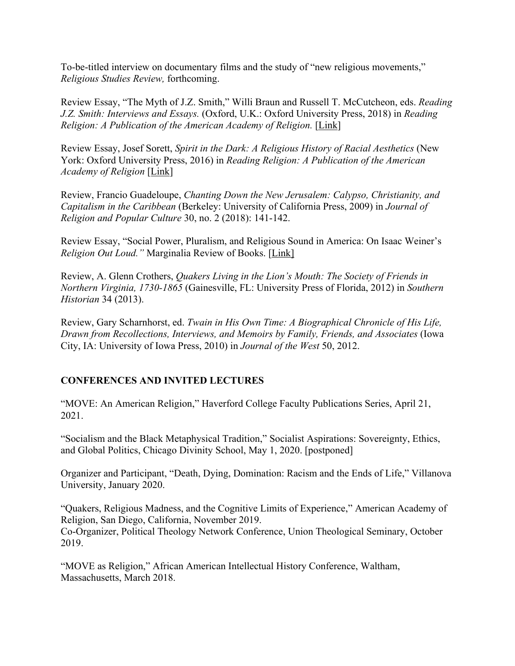To-be-titled interview on documentary films and the study of "new religious movements," *Religious Studies Review,* forthcoming.

Review Essay, "The Myth of J.Z. Smith," Willi Braun and Russell T. McCutcheon, eds. *Reading J.Z. Smith: Interviews and Essays.* (Oxford, U.K.: Oxford University Press, 2018) in *Reading Religion: A Publication of the American Academy of Religion.* [Link]

Review Essay, Josef Sorett, *Spirit in the Dark: A Religious History of Racial Aesthetics* (New York: Oxford University Press, 2016) in *Reading Religion: A Publication of the American Academy of Religion* [Link]

Review, Francio Guadeloupe, *Chanting Down the New Jerusalem: Calypso, Christianity, and Capitalism in the Caribbean* (Berkeley: University of California Press, 2009) in *Journal of Religion and Popular Culture* 30, no. 2 (2018): 141-142.

Review Essay, "Social Power, Pluralism, and Religious Sound in America: On Isaac Weiner's *Religion Out Loud."* Marginalia Review of Books. [Link]

Review, A. Glenn Crothers, *Quakers Living in the Lion's Mouth: The Society of Friends in Northern Virginia, 1730-1865* (Gainesville, FL: University Press of Florida, 2012) in *Southern Historian* 34 (2013).

Review, Gary Scharnhorst, ed. *Twain in His Own Time: A Biographical Chronicle of His Life, Drawn from Recollections, Interviews, and Memoirs by Family, Friends, and Associates* (Iowa City, IA: University of Iowa Press, 2010) in *Journal of the West* 50, 2012.

#### **CONFERENCES AND INVITED LECTURES**

"MOVE: An American Religion," Haverford College Faculty Publications Series, April 21, 2021.

"Socialism and the Black Metaphysical Tradition," Socialist Aspirations: Sovereignty, Ethics, and Global Politics, Chicago Divinity School, May 1, 2020. [postponed]

Organizer and Participant, "Death, Dying, Domination: Racism and the Ends of Life," Villanova University, January 2020.

"Quakers, Religious Madness, and the Cognitive Limits of Experience," American Academy of Religion, San Diego, California, November 2019. Co-Organizer, Political Theology Network Conference, Union Theological Seminary, October 2019.

"MOVE as Religion," African American Intellectual History Conference, Waltham, Massachusetts, March 2018.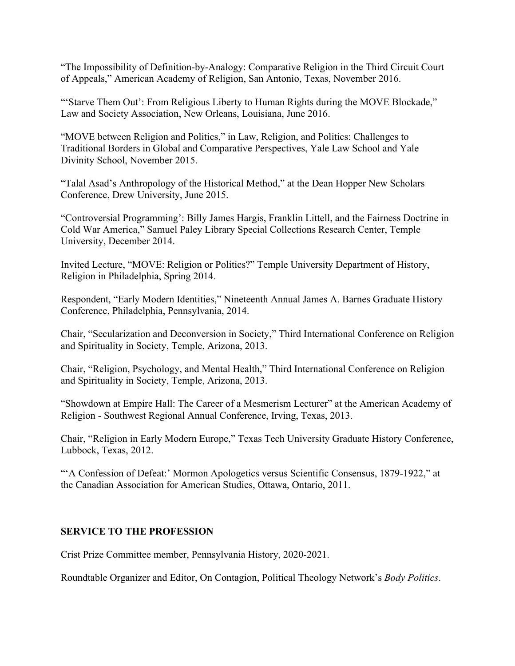"The Impossibility of Definition-by-Analogy: Comparative Religion in the Third Circuit Court of Appeals," American Academy of Religion, San Antonio, Texas, November 2016.

"'Starve Them Out': From Religious Liberty to Human Rights during the MOVE Blockade," Law and Society Association, New Orleans, Louisiana, June 2016.

"MOVE between Religion and Politics," in Law, Religion, and Politics: Challenges to Traditional Borders in Global and Comparative Perspectives, Yale Law School and Yale Divinity School, November 2015.

"Talal Asad's Anthropology of the Historical Method," at the Dean Hopper New Scholars Conference, Drew University, June 2015.

"Controversial Programming': Billy James Hargis, Franklin Littell, and the Fairness Doctrine in Cold War America," Samuel Paley Library Special Collections Research Center, Temple University, December 2014.

Invited Lecture, "MOVE: Religion or Politics?" Temple University Department of History, Religion in Philadelphia, Spring 2014.

Respondent, "Early Modern Identities," Nineteenth Annual James A. Barnes Graduate History Conference, Philadelphia, Pennsylvania, 2014.

Chair, "Secularization and Deconversion in Society," Third International Conference on Religion and Spirituality in Society, Temple, Arizona, 2013.

Chair, "Religion, Psychology, and Mental Health," Third International Conference on Religion and Spirituality in Society, Temple, Arizona, 2013.

"Showdown at Empire Hall: The Career of a Mesmerism Lecturer" at the American Academy of Religion - Southwest Regional Annual Conference, Irving, Texas, 2013.

Chair, "Religion in Early Modern Europe," Texas Tech University Graduate History Conference, Lubbock, Texas, 2012.

"'A Confession of Defeat:' Mormon Apologetics versus Scientific Consensus, 1879-1922," at the Canadian Association for American Studies, Ottawa, Ontario, 2011.

## **SERVICE TO THE PROFESSION**

Crist Prize Committee member, Pennsylvania History, 2020-2021.

Roundtable Organizer and Editor, On Contagion, Political Theology Network's *Body Politics*.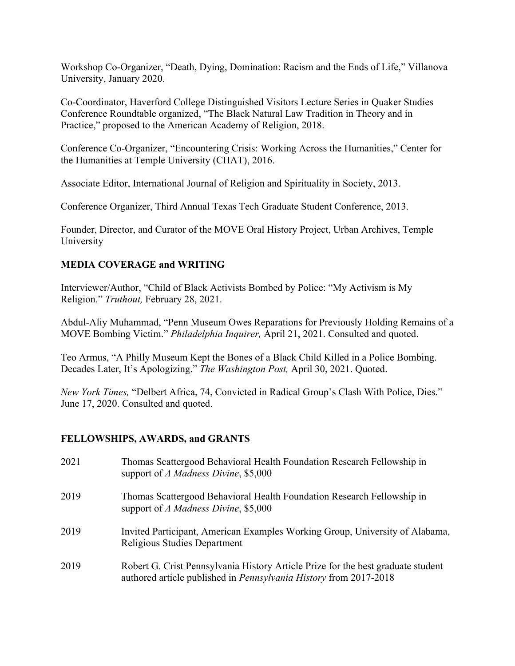Workshop Co-Organizer, "Death, Dying, Domination: Racism and the Ends of Life," Villanova University, January 2020.

Co-Coordinator, Haverford College Distinguished Visitors Lecture Series in Quaker Studies Conference Roundtable organized, "The Black Natural Law Tradition in Theory and in Practice," proposed to the American Academy of Religion, 2018.

Conference Co-Organizer, "Encountering Crisis: Working Across the Humanities," Center for the Humanities at Temple University (CHAT), 2016.

Associate Editor, International Journal of Religion and Spirituality in Society, 2013.

Conference Organizer, Third Annual Texas Tech Graduate Student Conference, 2013.

Founder, Director, and Curator of the MOVE Oral History Project, Urban Archives, Temple University

#### **MEDIA COVERAGE and WRITING**

Interviewer/Author, "Child of Black Activists Bombed by Police: "My Activism is My Religion." *Truthout,* February 28, 2021.

Abdul-Aliy Muhammad, "Penn Museum Owes Reparations for Previously Holding Remains of a MOVE Bombing Victim." *Philadelphia Inquirer,* April 21, 2021. Consulted and quoted.

Teo Armus, "A Philly Museum Kept the Bones of a Black Child Killed in a Police Bombing. Decades Later, It's Apologizing." *The Washington Post,* April 30, 2021. Quoted.

*New York Times,* "Delbert Africa, 74, Convicted in Radical Group's Clash With Police, Dies." June 17, 2020. Consulted and quoted.

#### **FELLOWSHIPS, AWARDS, and GRANTS**

| 2021 | Thomas Scattergood Behavioral Health Foundation Research Fellowship in<br>support of A Madness Divine, \$5,000                                        |
|------|-------------------------------------------------------------------------------------------------------------------------------------------------------|
| 2019 | Thomas Scattergood Behavioral Health Foundation Research Fellowship in<br>support of A Madness Divine, \$5,000                                        |
| 2019 | Invited Participant, American Examples Working Group, University of Alabama,<br>Religious Studies Department                                          |
| 2019 | Robert G. Crist Pennsylvania History Article Prize for the best graduate student<br>authored article published in Pennsylvania History from 2017-2018 |